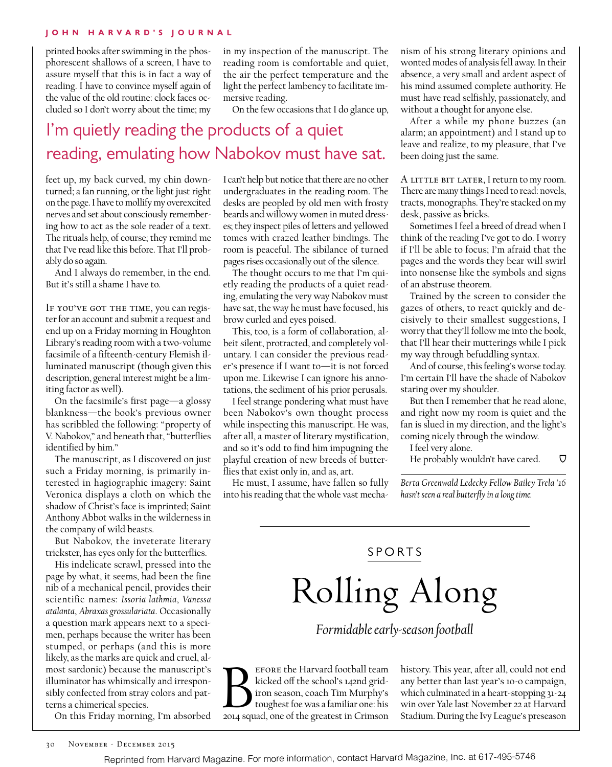#### **John H arvard's Journal**

printed books after swimming in the phosphorescent shallows of a screen, I have to assure myself that this is in fact a way of reading. I have to convince myself again of the value of the old routine: clock faces occluded so I don't worry about the time; my

in my inspection of the manuscript. The reading room is comfortable and quiet, the air the perfect temperature and the light the perfect lambency to facilitate immersive reading.

On the few occasions that I do glance up,

## I'm quietly reading the products of a quiet reading, emulating how Nabokov must have sat.

feet up, my back curved, my chin downturned; a fan running, or the light just right on the page. I have to mollify my overexcited nerves and set about consciously remembering how to act as the sole reader of a text. The rituals help, of course; they remind me that I've read like this before. That I'll probably do so again.

And I always do remember, in the end. But it's still a shame I have to.

IF YOU'VE GOT THE TIME, you can register for an account and submit a request and end up on a Friday morning in Houghton Library's reading room with a two-volume facsimile of a fifteenth-century Flemish illuminated manuscript (though given this description, general interest might be a limiting factor as well).

On the facsimile's first page—a glossy blankness—the book's previous owner has scribbled the following: "property of V. Nabokov," and beneath that, "butterflies identified by him."

The manuscript, as I discovered on just such a Friday morning, is primarily interested in hagiographic imagery: Saint Veronica displays a cloth on which the shadow of Christ's face is imprinted; Saint Anthony Abbot walks in the wilderness in the company of wild beasts.

But Nabokov, the inveterate literary trickster, has eyes only for the butterflies.

His indelicate scrawl, pressed into the page by what, it seems, had been the fine nib of a mechanical pencil, provides their scientific names: *Issoria lathmia*, *Vanessa atalanta*, *Abraxas grossulariata*. Occasionally a question mark appears next to a specimen, perhaps because the writer has been stumped, or perhaps (and this is more likely, as the marks are quick and cruel, almost sardonic) because the manuscript's illuminator has whimsically and irresponsibly confected from stray colors and patterns a chimerical species.

On this Friday morning, I'm absorbed

I can't help but notice that there are no other undergraduates in the reading room. The desks are peopled by old men with frosty beards and willowy women in muted dresses; they inspect piles of letters and yellowed tomes with crazed leather bindings. The room is peaceful. The sibilance of turned pages rises occasionally out of the silence.

The thought occurs to me that I'm quietly reading the products of a quiet reading, emulating the very way Nabokov must have sat, the way he must have focused, his brow curled and eyes poised.

This, too, is a form of collaboration, albeit silent, protracted, and completely voluntary. I can consider the previous reader's presence if I want to—it is not forced upon me. Likewise I can ignore his annotations, the sediment of his prior perusals.

I feel strange pondering what must have been Nabokov's own thought process while inspecting this manuscript. He was, after all, a master of literary mystification, and so it's odd to find him impugning the playful creation of new breeds of butterflies that exist only in, and as, art.

He must, I assume, have fallen so fully into his reading that the whole vast mechanism of his strong literary opinions and wonted modes of analysis fell away. In their absence, a very small and ardent aspect of his mind assumed complete authority. He must have read selfishly, passionately, and without a thought for anyone else.

After a while my phone buzzes (an alarm; an appointment) and I stand up to leave and realize, to my pleasure, that I've been doing just the same.

A LITTLE BIT LATER, I return to my room. There are many things I need to read: novels, tracts, monographs. They're stacked on my desk, passive as bricks.

Sometimes I feel a breed of dread when I think of the reading I've got to do. I worry if I'll be able to focus; I'm afraid that the pages and the words they bear will swirl into nonsense like the symbols and signs of an abstruse theorem.

Trained by the screen to consider the gazes of others, to react quickly and decisively to their smallest suggestions, I worry that they'll follow me into the book, that I'll hear their mutterings while I pick my way through befuddling syntax.

And of course, this feeling's worse today. I'm certain I'll have the shade of Nabokov staring over my shoulder.

But then I remember that he read alone, and right now my room is quiet and the fan is slued in my direction, and the light's coming nicely through the window.

I feel very alone.

He probably wouldn't have cared.  $\bigtriangledown$ 

*Berta Greenwald Ledecky Fellow Bailey Trela '16 hasn't seen a real butterfly in a long time.*

**SPORTS** 

# Rolling Along

*Formidable early-season football*

EFORE the Harvard football team<br>kicked off the school's 142nd grid-<br>toughest foe was a familiar one: his<br>2014 squad, one of the greatest in Crimson EFORE the Harvard football team kicked off the school's 142nd gridiron season, coach Tim Murphy's toughest foe was a familiar one: his

history. This year, after all, could not end any better than last year's 10-0 campaign, which culminated in a heart-stopping 31-24 win over Yale last November 22 at Harvard Stadium. During the Ivy League's preseason

Reprinted from Harvard Magazine. For more information, contact Harvard Magazine, Inc. at 617-495-5746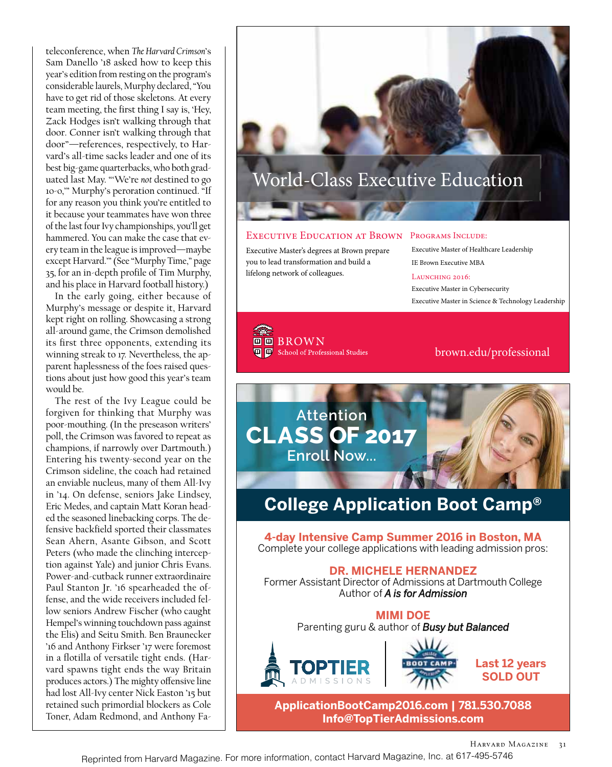teleconference, when *The Harvard Crimson*'s Sam Danello '18 asked how to keep this year's edition from resting on the program's considerable laurels, Murphy declared, "You have to get rid of those skeletons. At every team meeting, the first thing I say is, 'Hey, Zack Hodges isn't walking through that door. Conner isn't walking through that door"—references, respectively, to Harvard's all-time sacks leader and one of its best big-game quarterbacks, who both graduated last May. "'We're *not* destined to go 10-0,'" Murphy's peroration continued. "If for any reason you think you're entitled to it because your teammates have won three of the last four Ivy championships, you'll get hammered. You can make the case that every team in the league is improved—maybe except Harvard.'" (See "Murphy Time," page 35, for an in-depth profile of Tim Murphy, and his place in Harvard football history.)

In the early going, either because of Murphy's message or despite it, Harvard kept right on rolling. Showcasing a strong all-around game, the Crimson demolished its first three opponents, extending its winning streak to 17. Nevertheless, the apparent haplessness of the foes raised questions about just how good this year's team would be.

The rest of the Ivy League could be forgiven for thinking that Murphy was poor-mouthing. (In the preseason writers' poll, the Crimson was favored to repeat as champions, if narrowly over Dartmouth.) Entering his twenty-second year on the Crimson sideline, the coach had retained an enviable nucleus, many of them All-Ivy in '14. On defense, seniors Jake Lindsey, Eric Medes, and captain Matt Koran headed the seasoned linebacking corps. The defensive backfield sported their classmates Sean Ahern, Asante Gibson, and Scott Peters (who made the clinching interception against Yale) and junior Chris Evans. Power-and-cutback runner extraordinaire Paul Stanton Jr. '16 spearheaded the offense, and the wide receivers included fellow seniors Andrew Fischer (who caught Hempel's winning touchdown pass against the Elis) and Seitu Smith. Ben Braunecker '16 and Anthony Firkser '17 were foremost in a flotilla of versatile tight ends. (Harvard spawns tight ends the way Britain produces actors.) The mighty offensive line had lost All-Ivy center Nick Easton '15 but retained such primordial blockers as Cole Toner, Adam Redmond, and Anthony FaWorld-Class Executive Education

#### Executive Education at Brown

Executive Master's degrees at Brown prepare you to lead transformation and build a lifelong network of colleagues.

#### Programs Include:

 Executive Master of Healthcare Leadership IE Brown Executive MBA

#### LAUNCHING 2016:

Executive Master in Cybersecurity Executive Master in Science & Technology Leadership

**DE BROWN T** Chool of Professional Studies

brown.edu/professional



*COMPLETE APMISSIONS* **SOLD OUT** 

with leading admission pros: **ApplicationBootCamp2016.com | 781.530.7088 ApplicationBootCamp2016.com Info@TopTierAdmissions.com**

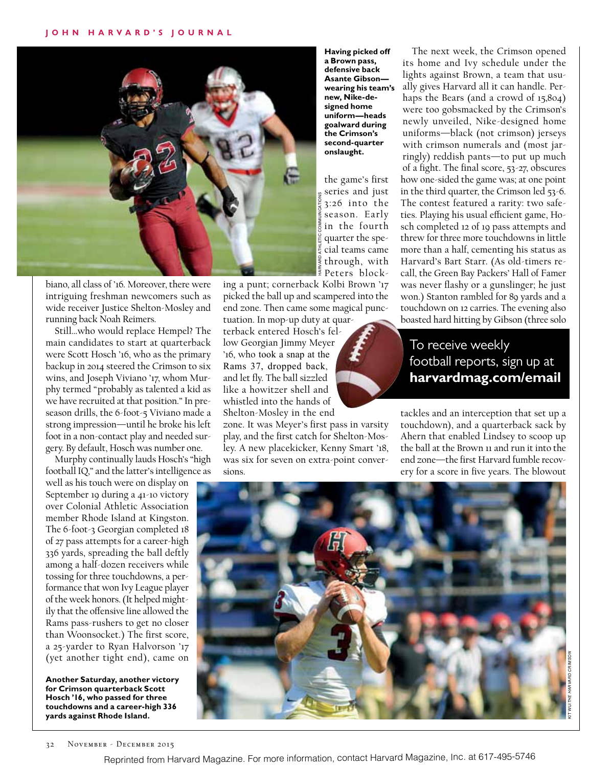

biano, all class of '16. Moreover, there were intriguing freshman newcomers such as wide receiver Justice Shelton-Mosley and running back Noah Reimers.

Still…who would replace Hempel? The main candidates to start at quarterback were Scott Hosch '16, who as the primary backup in 2014 steered the Crimson to six wins, and Joseph Viviano '17, whom Murphy termed "probably as talented a kid as we have recruited at that position." In preseason drills, the 6-foot-5 Viviano made a strong impression—until he broke his left foot in a non-contact play and needed surgery. By default, Hosch was number one.

Murphy continually lauds Hosch's "high football IQ," and the latter's intelligence as

well as his touch were on display on September 19 during a 41-10 victory over Colonial Athletic Association member Rhode Island at Kingston. The 6-foot-3 Georgian completed 18 of 27 pass attempts for a career-high 336 yards, spreading the ball deftly among a half-dozen receivers while tossing for three touchdowns, a performance that won Ivy League player of the week honors. (It helped mightily that the offensive line allowed the Rams pass-rushers to get no closer than Woonsocket.) The first score, a 25-yarder to Ryan Halvorson '17 (yet another tight end), came on

**Another Saturday, another victory for Crimson quarterback Scott Hosch '16, who passed for three touchdowns and a career-high 336 yards against Rhode Island.**

**Having picked off a Brown pass, defensive back Asante Gibson wearing his team's new, Nike-designed home uniform—heads goalward during the Crimson's second-quarter onslaught.**

the game's first series and just 3:26 into the season. Early in the fourth quarter the special teams came through, with Peters block-

ing a punt; cornerback Kolbi Brown '17 picked the ball up and scampered into the end zone. Then came some magical punctuation. In mop-up duty at quar-

terback entered Hosch's fellow Georgian Jimmy Meyer '16, who took a snap at the Rams 37, dropped back, and let fly. The ball sizzled like a howitzer shell and whistled into the hands of Shelton-Mosley in the end

zone. It was Meyer's first pass in varsity play, and the first catch for Shelton-Mosley. A new placekicker, Kenny Smart '18, was six for seven on extra-point conversions.

The next week, the Crimson opened its home and Ivy schedule under the lights against Brown, a team that usually gives Harvard all it can handle. Perhaps the Bears (and a crowd of 15,804) were too gobsmacked by the Crimson's newly unveiled, Nike-designed home uniforms—black (not crimson) jerseys with crimson numerals and (most jarringly) reddish pants—to put up much of a fight. The final score, 53-27, obscures how one-sided the game was; at one point in the third quarter, the Crimson led 53-6. The contest featured a rarity: two safeties. Playing his usual efficient game, Hosch completed 12 of 19 pass attempts and threw for three more touchdowns in little more than a half, cementing his status as Harvard's Bart Starr. (As old-timers recall, the Green Bay Packers' Hall of Famer was never flashy or a gunslinger; he just won.) Stanton rambled for 89 yards and a touchdown on 12 carries. The evening also boasted hard hitting by Gibson (three solo

### To receive weekly football reports, sign up at **harvardmag.com/email**

tackles and an interception that set up a touchdown), and a quarterback sack by Ahern that enabled Lindsey to scoop up the ball at the Brown 11 and run it into the end zone—the first Harvard fumble recovery for a score in five years. The blowout



Reprinted from Harvard Magazine. For more information, contact Harvard Magazine, Inc. at 617-495-5746